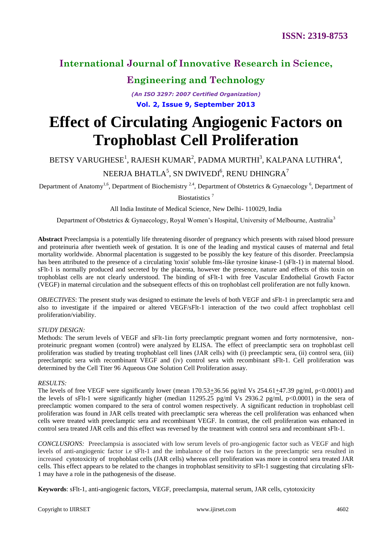# **Engineering and Technology**

*(An ISO 3297: 2007 Certified Organization)* **Vol. 2, Issue 9, September 2013**

# **Effect of Circulating Angiogenic Factors on Trophoblast Cell Proliferation**

BETSY VARUGHESE $^1$ , RAJESH KUMAR $^2$ , PADMA MURTHI $^3$ , KALPANA LUTHRA $^4$ ,

### NEERJA BHATLA $^5$ , SN DWIVEDI $^6$ , RENU DHINGRA $^7$

Department of Anatomy<sup>1,6</sup>, Department of Biochemistry<sup>2,4</sup>, Department of Obstetrics & Gynaecology<sup>6</sup>, Department of

Biostatistics <sup>7</sup>

All India Institute of Medical Science, New Delhi- 110029, India

Department of Obstetrics & Gynaecology, Royal Women's Hospital, University of Melbourne, Australia<sup>3</sup>

**Abstract** Preeclampsia is a potentially life threatening disorder of pregnancy which presents with raised blood pressure and proteinuria after twentieth week of gestation. It is one of the leading and mystical causes of maternal and fetal mortality worldwide. Abnormal placentation is suggested to be possibly the key feature of this disorder. Preeclampsia has been attributed to the presence of a circulating 'toxin' soluble fms-like tyrosine kinase-1 (sFlt-1) in maternal blood. sFlt-1 is normally produced and secreted by the placenta, however the presence, nature and effects of this toxin on trophoblast cells are not clearly understood. The binding of sFlt-1 with free Vascular Endothelial Growth Factor (VEGF) in maternal circulation and the subsequent effects of this on trophoblast cell proliferation are not fully known.

*OBJECTIVES*: The present study was designed to estimate the levels of both VEGF and sFlt-1 in preeclamptic sera and also to investigate if the impaired or altered VEGF/sFlt-1 interaction of the two could affect trophoblast cell proliferation/viability.

#### *STUDY DESIGN:*

Methods: The serum levels of VEGF and sFlt-1in forty preeclamptic pregnant women and forty normotensive, nonproteinuric pregnant women (control) were analyzed by ELISA. The effect of preeclamptic sera on trophoblast cell proliferation was studied by treating trophoblast cell lines (JAR cells) with (i) preeclamptic sera, (ii) control sera, (iii) preeclamptic sera with recombinant VEGF and (iv) control sera with recombinant sFlt-1. Cell proliferation was determined by the Cell Titer 96 Aqueous One Solution Cell Proliferation assay.

#### *RESULTS:*

The levels of free VEGF were significantly lower (mean  $170.53\pm36.56$  pg/ml Vs  $254.61\pm47.39$  pg/ml, p<0.0001) and the levels of sFlt-1 were significantly higher (median 11295.25 pg/ml Vs 2936.2 pg/ml, p<0.0001) in the sera of preeclamptic women compared to the sera of control women respectively. A significant reduction in trophoblast cell proliferation was found in JAR cells treated with preeclamptic sera whereas the cell proliferation was enhanced when cells were treated with preeclamptic sera and recombinant VEGF. In contrast, the cell proliferation was enhanced in control sera treated JAR cells and this effect was reversed by the treatment with control sera and recombinant sFlt-1.

*CONCLUSIONS:* Preeclampsia is associated with low serum levels of pro-angiogenic factor such as VEGF and high levels of anti-angiogenic factor i.e sFlt-1 and the imbalance of the two factors in the preeclamptic sera resulted in increased cytotoxicity of trophoblast cells (JAR cells) whereas cell proliferation was more in control sera treated JAR cells. This effect appears to be related to the changes in trophoblast sensitivity to sFlt-1 suggesting that circulating sFlt-1 may have a role in the pathogenesis of the disease.

**Keywords**: sFlt-1, anti-angiogenic factors, VEGF, preeclampsia, maternal serum, JAR cells, cytotoxicity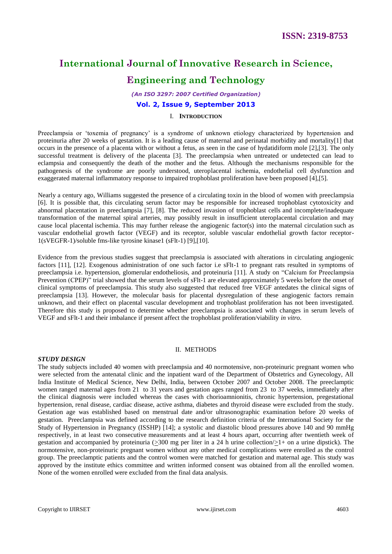# **Engineering and Technology**

## *(An ISO 3297: 2007 Certified Organization)*

# **Vol. 2, Issue 9, September 2013**

#### I. **INTRODUCTION**

Preeclampsia or 'toxemia of pregnancy' is a syndrome of unknown etiology characterized by hypertension and proteinuria after 20 weeks of gestation. It is a leading cause of maternal and perinatal morbidity and mortality[1] that occurs in the presence of a placenta with or without a fetus, as seen in the case of hydatidiform mole [2],[3]. The only successful treatment is delivery of the placenta [3]. The preeclampsia when untreated or undetected can lead to eclampsia and consequently the death of the mother and the fetus. Although the mechanisms responsible for the pathogenesis of the syndrome are poorly understood, uteroplacental ischemia, endothelial cell dysfunction and exaggerated maternal inflammatory response to impaired trophoblast proliferation have been proposed [4],[5].

Nearly a century ago, Williams suggested the presence of a circulating toxin in the blood of women with preeclampsia [6]. It is possible that, this circulating serum factor may be responsible for increased trophoblast cytotoxicity and abnormal placentation in preeclampsia [7], [8]. The reduced invasion of trophoblast cells and incomplete/inadequate transformation of the maternal spiral arteries, may possibly result in insufficient uteroplacental circulation and may cause local placental ischemia. This may further release the angiogenic factor(s) into the maternal circulation such as vascular endothelial growth factor (VEGF) and its receptor, soluble vascular endothelial growth factor receptor-1(sVEGFR-1)/soluble fms-like tyrosine kinase1 (sFlt-1) [9],[10].

Evidence from the previous studies suggest that preeclampsia is associated with alterations in circulating angiogenic factors [11], [12]. Exogenous administration of one such factor i.e sFlt-1 to pregnant rats resulted in symptoms of preeclampsia i.e. hypertension, glomerular endotheliosis, and proteinuria [11]. A study on "Calcium for Preeclampsia Prevention (CPEP)" trial showed that the serum levels of sFlt-1 are elevated approximately 5 weeks before the onset of clinical symptoms of preeclampsia. This study also suggested that reduced free VEGF antedates the clinical signs of preeclampsia [13]. However, the molecular basis for placental dysregulation of these angiogenic factors remain unknown, and their effect on placental vascular development and trophoblast proliferation has not been investigated. Therefore this study is proposed to determine whether preeclampsia is associated with changes in serum levels of VEGF and sFlt-1 and their imbalance if present affect the trophoblast proliferation/viability *in vitro*.

#### II. METHODS

#### *STUDY DESIGN*

The study subjects included 40 women with preeclampsia and 40 normotensive, non-proteinuric pregnant women who were selected from the antenatal clinic and the inpatient ward of the Department of Obstetrics and Gynecology, All India Institute of Medical Science, New Delhi, India, between October 2007 and October 2008. The preeclamptic women ranged maternal ages from 21 to 31 years and gestation ages ranged from 23 to 37 weeks, immediately after the clinical diagnosis were included whereas the cases with chorioamnionitis, chronic hypertension, pregestational hypertension, renal disease, cardiac disease, active asthma, diabetes and thyroid disease were excluded from the study. Gestation age was established based on menstrual date and/or ultrasonographic examination before 20 weeks of gestation. Preeclampsia was defined according to the research definition criteria of the International Society for the Study of Hypertension in Pregnancy (ISSHP) [14]; a systolic and diastolic blood pressures above 140 and 90 mmHg respectively, in at least two consecutive measurements and at least 4 hours apart, occurring after twentieth week of gestation and accompanied by proteinuria ( $\geq$ 300 mg per liter in a 24 h urine collection/ $\geq$ 1+ on a urine dipstick). The normotensive, non-proteinuric pregnant women without any other medical complications were enrolled as the control group. The preeclamptic patients and the control women were matched for gestation and maternal age. This study was approved by the institute ethics committee and written informed consent was obtained from all the enrolled women. None of the women enrolled were excluded from the final data analysis.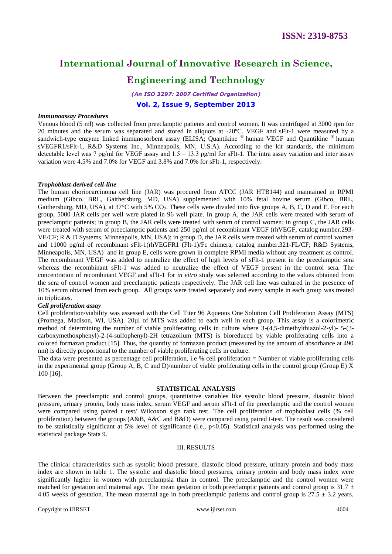# **Engineering and Technology**

*(An ISO 3297: 2007 Certified Organization)* **Vol. 2, Issue 9, September 2013**

#### *Immunoassay Procedures*

Venous blood (5 ml) was collected from preeclamptic patients and control women. It was centrifuged at 3000 rpm for 20 minutes and the serum was separated and stored in aliquots at -20ºC. VEGF and sFlt-1 were measured by a sandwich-type enzyme linked immunosorbent assay (ELISA; Quantikine ® human VEGF and Quantikine ® human sVEGFR1/sFlt-1, R&D Systems Inc., Minneapolis, MN, U.S.A). According to the kit standards, the minimum detectable level was 7  $pg/ml$  for VEGF assay and 1.5 – 13.3  $pg/ml$  for sFlt-1. The intra assay variation and inter assay variation were 4.5% and 7.0% for VEGF and 3.8% and 7.0% for sFlt-1, respectively.

#### *Trophoblast-derived cell-line*

The human choriocarcinoma cell line (JAR) was procured from ATCC (JAR HTB144) and maintained in RPMI medium (Gibco, BRL, Gaithersburg, MD, USA) supplemented with 10% fetal bovine serum (Gibco, BRL, Gaithersburg, MD, USA), at  $37^{\circ}$ C with 5% CO<sub>2</sub>. These cells were divided into five groups A, B, C, D and E. For each group, 5000 JAR cells per well were plated in 96 well plate. In group A, the JAR cells were treated with serum of preeclamptic patients; in group B, the JAR cells were treated with serum of control women; in group C, the JAR cells were treated with serum of preeclamptic patients and 250 pg/ml of recombinant VEGF (rhVEGF, catalog number.293-VE/CF; R & D Systems, Minneapolis, MN, USA); in group D, the JAR cells were treated with serum of control women and 11000 pg/ml of recombinant sFlt-1(rhVEGFR1 (Flt-1)/Fc chimera, catalog number.321-FL/CF; R&D Systems, Minneapolis, MN, USA) and in group E, cells were grown in complete RPMI media without any treatment as control. The recombinant VEGF was added to neutralize the effect of high levels of sFlt-1 present in the preeclamptic sera whereas the recombinant sFlt-1 was added to neutralize the effect of VEGF present in the control sera. The concentration of recombinant VEGF and sFlt-1 for *in vitro* study was selected according to the values obtained from the sera of control women and preeclamptic patients respectively. The JAR cell line was cultured in the presence of 10% serum obtained from each group. All groups were treated separately and every sample in each group was treated in triplicates.

#### *Cell proliferation assay*

Cell proliferation/viability was assessed with the Cell Titer 96 Aqueous One Solution Cell Proliferation Assay (MTS) (Promega, Madison, WI, USA). 20µl of MTS was added to each well in each group. This assay is a colorimetric method of determining the number of viable proliferating cells in culture where 3-(4,5-dimethylthiazol-2-yl)- 5-(3 carboxymethoxphenyl)-2-(4-sulfophenyl)-2H tetrazolium (MTS) is bioreduced by viable proliferating cells into a colored formazan product [15]. Thus, the quantity of formazan product (measured by the amount of absorbance at 490 nm) is directly proportional to the number of viable proliferating cells in culture.

The data were presented as percentage cell proliferation, i.e % cell proliferation = Number of viable proliferating cells in the experimental group (Group A, B, C and D)/number of viable proliferating cells in the control group (Group E) X 100 [16].

#### **STATISTICAL ANALYSIS**

Between the preeclamptic and control groups, quantitative variables like systolic blood pressure, diastolic blood pressure, urinary protein, body mass index, serum VEGF and serum sFlt-1 of the preeclamptic and the control women were compared using paired t test/ Wilcoxon sign rank test. The cell proliferation of trophoblast cells (% cell proliferation) between the groups (A&B, A&C and B&D) were compared using paired t-test. The result was considered to be statistically significant at 5% level of significance (i.e.,  $p<0.05$ ). Statistical analysis was performed using the statistical package Stata 9.

#### III. RESULTS

The clinical characteristics such as systolic blood pressure, diastolic blood pressure, urinary protein and body mass index are shown in table 1. The systolic and diastolic blood pressures, urinary protein and body mass index were significantly higher in women with preeclampsia than in control. The preeclamptic and the control women were matched for gestation and maternal age. The mean gestation in both preeclamptic patients and control group is  $31.7 \pm$ 4.05 weeks of gestation. The mean maternal age in both preeclamptic patients and control group is  $27.5 \pm 3.2$  years.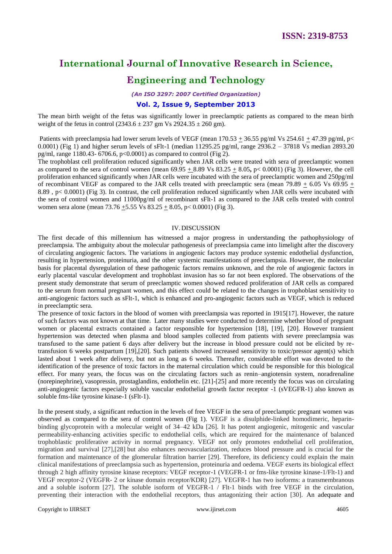# **Engineering and Technology**

*(An ISO 3297: 2007 Certified Organization)*

#### **Vol. 2, Issue 9, September 2013**

The mean birth weight of the fetus was significantly lower in preeclamptic patients as compared to the mean birth weight of the fetus in control  $(2343.6 \pm 237)$  gm Vs  $2924.35 \pm 260$  gm).

Patients with preeclampsia had lower serum levels of VEGF (mean  $170.53 + 36.55$  pg/ml Vs  $254.61 + 47.39$  pg/ml, p< 0.0001) (Fig 1) and higher serum levels of sFlt-1 (median  $11295.25$  pg/ml, range  $2936.2 - 37818$  Vs median  $2893.20$ pg/ml, range 1180.43- 6706.6, p<0.0001) as compared to control (Fig 2).

The trophoblast cell proliferation reduced significantly when JAR cells were treated with sera of preeclamptic women as compared to the sera of control women (mean  $69.95 \pm 8.89$  Vs  $83.25 \pm 8.05$ , p< 0.0001) (Fig 3). However, the cell proliferation enhanced significantly when JAR cells were incubated with the sera of preeclamptic women and 250pg/ml of recombinant VEGF as compared to the JAR cells treated with preeclamptic sera (mean 79.89 + 6.05 Vs 69.95 + 8.89 , p< 0.0001) (Fig 3). In contrast, the cell proliferation reduced significantly when JAR cells were incubated with the sera of control women and 11000pg/ml of recombinant sFlt-1 as compared to the JAR cells treated with control women sera alone (mean  $73.76 + 5.55$  Vs  $83.25 + 8.05$ , p $< 0.0001$ ) (Fig 3).

#### IV.DISCUSSION

The first decade of this millennium has witnessed a major progress in understanding the pathophysiology of preeclampsia. The ambiguity about the molecular pathogenesis of preeclampsia came into limelight after the discovery of circulating angiogenic factors. The variations in angiogenic factors may produce systemic endothelial dysfunction, resulting in hypertension, proteinuria, and the other systemic manifestations of preeclampsia. However, the molecular basis for placental dysregulation of these pathogenic factors remains unknown, and the role of angiogenic factors in early placental vascular development and trophoblast invasion has so far not been explored. The observations of the present study demonstrate that serum of preeclamptic women showed reduced proliferation of JAR cells as compared to the serum from normal pregnant women, and this effect could be related to the changes in trophoblast sensitivity to anti-angiogenic factors such as sFlt-1, which is enhanced and pro-angiogenic factors such as VEGF, which is reduced in preeclamptic sera.

The presence of toxic factors in the blood of women with preeclampsia was reported in 1915[17]. However, the nature of such factors was not known at that time. Later many studies were conducted to determine whether blood of pregnant women or placental extracts contained a factor responsible for hypertension [18], [19], [20]. However transient hypertension was detected when plasma and blood samples collected from patients with severe preeclampsia was transfused to the same patient 6 days after delivery but the increase in blood pressure could not be elicited by retransfusion 6 weeks postpartum [19],[20]. Such patients showed increased sensitivity to toxic/pressor agent(s) which lasted about 1 week after delivery, but not as long as 6 weeks. Thereafter, considerable effort was devoted to the identification of the presence of toxic factors in the maternal circulation which could be responsible for this biological effect. For many years, the focus was on the circulating factors such as renin–angiotensin system, noradrenaline (norepinephrine), vasopressin, prostaglandins, endothelin etc. [21]-[25] and more recently the focus was on circulating anti-angiogenic factors especially soluble vascular endothelial growth factor receptor -1 (sVEGFR-1) also known as soluble fms-like tyrosine kinase-1 (sFlt-1).

In the present study, a significant reduction in the levels of free VEGF in the sera of preeclamptic pregnant women was observed as compared to the sera of control women (Fig 1). VEGF is a disulphide-linked homodimeric, heparinbinding glycoprotein with a molecular weight of 34–42 kDa [26]. It has potent angiogenic, mitogenic and vascular permeability-enhancing activities specific to endothelial cells, which are required for the maintenance of balanced trophoblastic proliferative activity in normal pregnancy. VEGF not only promotes endothelial cell proliferation, migration and survival [27],[28] but also enhances neovascularization, reduces blood pressure and is crucial for the formation and maintenance of the glomerular filtration barrier [29]. Therefore, its deficiency could explain the main clinical manifestations of preeclampsia such as hypertension, proteinuria and oedema. VEGF exerts its biological effect through 2 high affinity tyrosine kinase receptors: VEGF receptor-1 (VEGFR-1 or fms-like tyrosine kinase-1/Flt-1) and VEGF receptor-2 (VEGFR- 2 or kinase domain receptor/KDR) [27]. VEGFR-1 has two isoforms: a transmembranous and a soluble isoform [27]. The soluble isoform of VEGFR-1 / Flt-1 binds with free VEGF in the circulation, preventing their interaction with the endothelial receptors, thus antagonizing their action [30]. An adequate and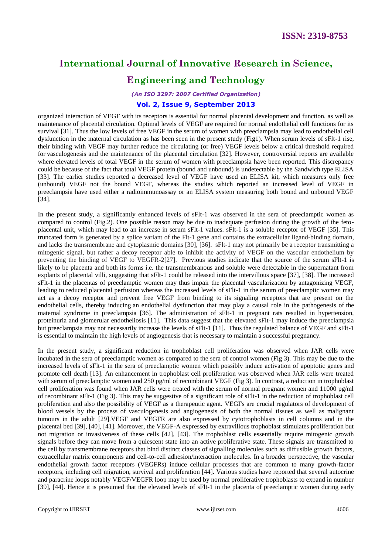## **Engineering and Technology**

*(An ISO 3297: 2007 Certified Organization)*

#### **Vol. 2, Issue 9, September 2013**

organized interaction of VEGF with its receptors is essential for normal placental development and function, as well as maintenance of placental circulation. Optimal levels of VEGF are required for normal endothelial cell functions for its survival [31]. Thus the low levels of free VEGF in the serum of women with preeclampsia may lead to endothelial cell dysfunction in the maternal circulation as has been seen in the present study (Fig1). When serum levels of sFlt-1 rise, their binding with VEGF may further reduce the circulating (or free) VEGF levels below a critical threshold required for vasculogenesis and the maintenance of the placental circulation [32]. However, controversial reports are available where elevated levels of total VEGF in the serum of women with preeclampsia have been reported. This discrepancy could be because of the fact that total VEGF protein (bound and unbound) is undetectable by the Sandwich type ELISA [33]. The earlier studies reported a decreased level of VEGF have used an ELISA kit, which measures only free (unbound) VEGF not the bound VEGF, whereas the studies which reported an increased level of VEGF in preeclampsia have used either a radioimmunoassay or an ELISA system measuring both bound and unbound VEGF [34].

In the present study, a significantly enhanced levels of sFlt-1 was observed in the sera of preeclamptic women as compared to control (Fig.2). One possible reason may be due to inadequate perfusion during the growth of the fetoplacental unit, which may lead to an increase in serum sFlt-1 values. sFlt-1 is a soluble receptor of VEGF [35]. This truncated form is generated by a splice variant of the Flt-1 gene and contains the extracellular ligand-binding domain, and lacks the transmembrane and cytoplasmic domains [30], [36]. sFlt-1 may not primarily be a receptor transmitting a mitogenic signal, but rather a decoy receptor able to inhibit the activity of VEGF on the vascular endothelium by preventing the binding of VEGF to VEGFR-2[27]. Previous studies indicate that the source of the serum sFlt-1 is likely to be placenta and both its forms i.e. the transmembranous and soluble were detectable in the supernatant from explants of placental villi, suggesting that sFlt-1 could be released into the intervillous space [37], [38]. The increased sFlt-1 in the placentas of preeclamptic women may thus impair the placental vascularization by antagonizing VEGF, leading to reduced placental perfusion whereas the increased levels of sFlt-1 in the serum of preeclamptic women may act as a decoy receptor and prevent free VEGF from binding to its signaling receptors that are present on the endothelial cells, thereby inducing an endothelial dysfunction that may play a causal role in the pathogenesis of the maternal syndrome in preeclampsia [36]. The administration of sFlt-1 in pregnant rats resulted in hypertension, proteinuria and glomerular endotheliosis [11]. This data suggest that the elevated sFlt-1 may induce the preeclampsia but preeclampsia may not necessarily increase the levels of sFlt-1 [11]. Thus the regulated balance of VEGF and sFlt-1 is essential to maintain the high levels of angiogenesis that is necessary to maintain a successful pregnancy.

In the present study, a significant reduction in trophoblast cell proliferation was observed when JAR cells were incubated in the sera of preeclamptic women as compared to the sera of control women (Fig 3). This may be due to the increased levels of sFlt-1 in the sera of preeclamptic women which possibly induce activation of apoptotic genes and promote cell death [13]. An enhancement in trophoblast cell proliferation was observed when JAR cells were treated with serum of preeclamptic women and 250 pg/ml of recombinant VEGF (Fig 3). In contrast, a reduction in trophoblast cell proliferation was found when JAR cells were treated with the serum of normal pregnant women and 11000 pg/ml of recombinant sFlt-1 (Fig 3). This may be suggestive of a significant role of sFlt-1 in the reduction of trophoblast cell proliferation and also the possibility of VEGF as a therapeutic agent. VEGFs are crucial regulators of development of blood vessels by the process of vasculogenesis and angiogenesis of both the normal tissues as well as malignant tumours in the adult [29].VEGF and VEGFR are also expressed by cytotrophoblasts in cell columns and in the placental bed [39], [40], [41]. Moreover, the VEGF-A expressed by extravillous trophoblast stimulates proliferation but not migration or invasiveness of these cells [42], [43]. The trophoblast cells essentially require mitogenic growth signals before they can move from a quiescent state into an active proliferative state. These signals are transmitted to the cell by transmembrane receptors that bind distinct classes of signalling molecules such as diffusible growth factors, extracellular matrix components and cell-to-cell adhesion/interaction molecules. In a broader perspective, the vascular endothelial growth factor receptors (VEGFRs) induce cellular processes that are common to many growth-factor receptors, including cell migration, survival and proliferation [44]. Various studies have reported that several autocrine and paracrine loops notably VEGF/VEGFR loop may be used by normal proliferative trophoblasts to expand in number [39], [44]. Hence it is presumed that the elevated levels of sFlt-1 in the placenta of preeclamptic women during early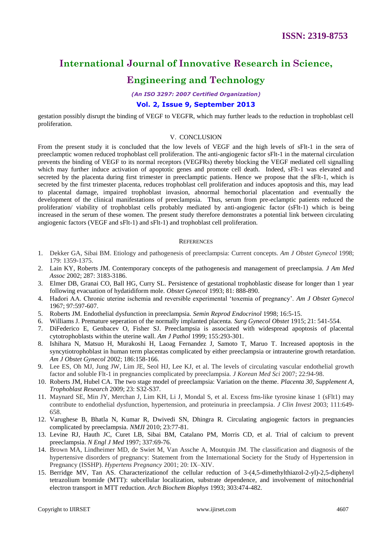### **Engineering and Technology**

*(An ISO 3297: 2007 Certified Organization)*

#### **Vol. 2, Issue 9, September 2013**

gestation possibly disrupt the binding of VEGF to VEGFR, which may further leads to the reduction in trophoblast cell proliferation.

#### V. CONCLUSION

From the present study it is concluded that the low levels of VEGF and the high levels of sFlt-1 in the sera of preeclamptic women reduced trophoblast cell proliferation. The anti-angiogenic factor sFlt-1 in the maternal circulation prevents the binding of VEGF to its normal receptors (VEGFRs) thereby blocking the VEGF mediated cell signalling which may further induce activation of apoptotic genes and promote cell death. Indeed, sFlt-1 was elevated and secreted by the placenta during first trimester in preeclamptic patients. Hence we propose that the sFlt-1, which is secreted by the first trimester placenta, reduces trophoblast cell proliferation and induces apoptosis and this, may lead to placental damage, impaired trophoblast invasion, abnormal hemochorial placentation and eventually the development of the clinical manifestations of preeclampsia. Thus, serum from pre-eclamptic patients reduced the proliferation/ viability of trophoblast cells probably mediated by anti-angiogenic factor (sFlt-1) which is being increased in the serum of these women. The present study therefore demonstrates a potential link between circulating angiogenic factors (VEGF and sFlt-1) and sFlt-1) and trophoblast cell proliferation.

#### **REFERENCES**

- 1. Dekker GA, Sibai BM. Etiology and pathogenesis of preeclampsia: Current concepts. *Am J Obstet Gynecol* 1998; 179: 1359-1375.
- 2. Lain KY, Roberts JM. Contemporary concepts of the pathogenesis and management of preeclampsia. *J Am Med Assoc* 2002; 287: 3183-3186.
- 3. Elmer DB, Granai CO, Ball HG, Curry SL. Persistence of gestational trophoblastic disease for longer than 1 year following evacuation of hydatidiform mole. *Obstet Gynecol* 1993; 81: 888-890.
- 4. Hadori AA. Chronic uterine ischemia and reversible experimental "toxemia of pregnancy". *Am J Obstet Gynecol* 1967; 97:597-607.
- 5. Roberts JM. Endothelial dysfunction in preeclampsia. *Semin Reprod Endocrinol* 1998; 16:5-15.
- 6. Williams J. Premature seperation of the normally implanted placenta. *Surg Gynecol Obstet* 1915; 21: 541-554.
- 7. DiFederico E, Genbacev O, Fisher SJ. Preeclampsia is associated with widespread apoptosis of placental cytotrophoblasts within the uterine wall. *Am J Pathol* 1999; 155:293-301.
- 8. Ishihara N, Matsuo H, Murakoshi H, Laoag Fernandez J, Samoto T, Maruo T. Increased apoptosis in the syncytiotrophoblast in human term placentas complicated by either preeclampsia or intrauterine growth retardation. *Am J Obstet Gynecol* 2002; 186:158-166.
- 9. Lee ES, Oh MJ, Jung JW, Lim JE, Seol HJ, Lee KJ, et al. The levels of circulating vascular endothelial growth factor and soluble Flt-1 in pregnancies complicated by preeclampsia. *J Korean Med Sci* 2007; 22:94-98.
- 10. Roberts JM, Hubel CA. The two stage model of preeclampsia: Variation on the theme*. Placenta 30, Supplement A, Trophoblast Research* 2009; 23: S32-S37.
- 11. Maynard SE, Min JY, Merchan J, Lim KH, Li J, Mondal S, et al. Excess fms-like tyrosine kinase 1 (sFlt1) may contribute to endothelial dysfunction, hypertension, and proteinuria in preeclampsia*. J Clin Invest* 2003; 111:649- 658.
- 12. Varughese B, Bhatla N, Kumar R, Dwivedi SN, Dhingra R. Circulating angiogenic factors in pregnancies complicated by preeclampsia. *NMJI* 2010; 23:77-81.
- 13. Levine RJ, Hauth JC, Curet LB, Sibai BM, Catalano PM, Morris CD, et al. Trial of calcium to prevent preeclampsia. *N Engl J Med* 1997; 337:69-76.
- 14. Brown MA, Lindheimer MD, de Swiet M, Van Assche A, Moutquin JM. The classification and diagnosis of the hypertensive disorders of pregnancy: Statement from the International Society for the Study of Hypertension in Pregnancy (ISSHP). *Hypertens Pregnancy* 2001; 20: IX–XIV.
- 15. Berridge MV, Tan AS. Characterizationof the cellular reduction of 3-(4,5-dimethylthiazol-2-yl)-2,5-diphenyl tetrazolium bromide (MTT): subcellular localization, substrate dependence, and involvement of mitochondrial electron transport in MTT reduction. *Arch Biochem Biophys* 1993; 303:474-482.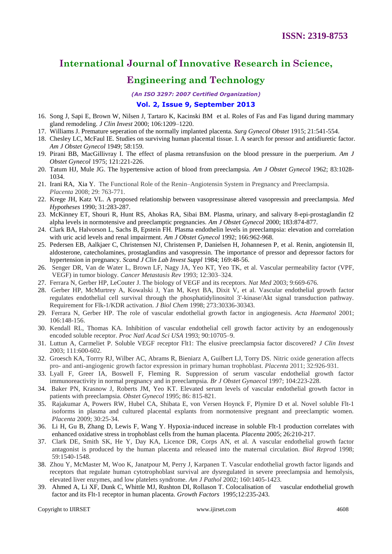### **Engineering and Technology**

*(An ISO 3297: 2007 Certified Organization)*

#### **Vol. 2, Issue 9, September 2013**

- 16. Song J, Sapi E, Brown W, Nilsen J, Tartaro K, Kacinski BM et al. Roles of Fas and Fas ligand during mammary gland remodeling. *J Clin Invest* 2000; 106:1209–1220.
- 17. Williams J. Premature seperation of the normally implanted placenta. *Surg Gynecol Obstet* 1915; 21:541-554.
- 18. Chesley LC, McFaul IE. Studies on surviving human placental tissue. I. A search for pressor and antidiuretic factor. *Am J Obstet Gynecol* 1949; 58:159.
- 19. Pirani BB, MacGillivray I. The effect of plasma retransfusion on the blood pressure in the puerperium. *Am J Obstet Gynecol* 1975; 121:221-226.
- 20. Tatum HJ, Mule JG. The hypertensive action of blood from preeclampsia. *Am J Obstet Gynecol* 1962; 83:1028- 1034.
- 21. Irani RA, Xia Y. The Functional Role of the Renin–Angiotensin System in Pregnancy and Preeclampsia. *Placenta* 2008; 29: 763-771.
- 22. Krege JH, Katz VL. A proposed relationship between vasopressinase altered vasopressin and preeclampsia. *Med Hypotheses* 1990; 31:283-287.
- 23. McKinney ET, Shouri R, Hunt RS, Ahokas RA, Sibai BM. Plasma, urinary, and salivary 8-epi-prostaglandin f2 alpha levels in normotensive and preeclamptic pregnancies. *Am J Obstet Gynecol* 2000; 183:874-877.
- 24. Clark BA, Halvorson L, Sachs B, Epstein FH. Plasma endothelin levels in preeclampsia: elevation and correlation with uric acid levels and renal impairment. *Am J Obstet Gynecol* 1992; 166:962-968.
- 25. Pedersen EB, Aalkjaer C, Christensen NJ, Christensen P, Danielsen H, Johannesen P, et al. Renin, angiotensin II, aldosterone, catecholamines, prostaglandins and vasopressin. The importance of pressor and depressor factors for hypertension in pregnancy. *Scand J Clin Lab Invest Suppl* 1984; 169:48-56.
- 26. Senger DR, Van de Water L, Brown LF, Nagy JA, Yeo KT, Yeo TK, et al. Vascular permeability factor (VPF, VEGF) in tumor biology. *Cancer Metastasis Rev* 1993; 12:303–324.
- 27. Ferrara N, Gerber HP, LeCouter J. The biology of VEGF and its receptors. *Nat Med* 2003; 9:669-676.
- 28. Gerber HP, McMurtrey A, Kowalski J, Yan M, Keyt BA, Dixit V, et al. Vascular endothelial growth factor regulates endothelial cell survival through the phosphatidylinositol 3'-kinase/Akt signal transduction pathway. Requirement for Flk-1/KDR activation. *J Biol Chem* 1998; 273:30336-30343.
- 29. Ferrara N, Gerber HP. The role of vascular endothelial growth factor in angiogenesis. *Acta Haematol* 2001; 106:148-156.
- 30. Kendall RL, Thomas KA. Inhibition of vascular endothelial cell growth factor activity by an endogenously encoded soluble receptor. *Proc Natl Acad Sci USA* 1993; 90:10705–9.
- 31. Luttun A, Carmeliet P. Soluble VEGF receptor Flt1: The elusive preeclampsia factor discovered? *J Clin Invest* 2003; 111:600-602.
- 32. Groesch KA, Torrry RJ, Wilber AC, Abrams R, Bieniarz A, Guilbert LJ, Torry DS. Nitric oxide generation affects pro- and anti-angiogenic growth factor expression in primary human trophoblast*. Placenta* 2011; 32:926-931.
- 33. Lyall F, Greer IA, Boswell F, Fleming R. Suppression of serum vascular endothelial growth factor immunoreactivity in normal pregnancy and in preeclampsia. *Br J Obstet Gynaecol* 1997; 104:223-228.
- 34. Baker PN, Krasnow J, Roberts JM, Yeo KT. Elevated serum levels of vascular endothelial growth factor in patients with preeclampsia. *Obstet Gynecol* 1995; 86: 815-821.
- 35. Rajakumar A, Powers RW, Hubel CA, Shibata E, von Versen Hoynck F, Plymire D et al. Novel soluble Flt-1 isoforms in plasma and cultured placental explants from normotensive pregnant and preeclamptic women. *Placenta* 2009; 30:25-34.
- 36. Li H, Gu B, Zhang D, Lewis F, Wang Y. Hypoxia-induced increase in soluble Flt-1 production correlates with enhanced oxidative stress in trophoblast cells from the human placenta. *Placenta* 2005; 26:210-217.
- 37. Clark DE, Smith SK, He Y, Day KA, Licence DR, Corps AN, et al. A vascular endothelial growth factor antagonist is produced by the human placenta and released into the maternal circulation. *Biol Reprod* 1998; 59:1540-1548.
- 38. Zhou Y, McMaster M, Woo K, Janatpour M, Perry J, Karpanen T. Vascular endothelial growth factor ligands and receptors that regulate human cytotrophoblast survival are dysregulated in severe preeclampsia and hemolysis, elevated liver enzymes, and low platelets syndrome. *Am J Pathol* 2002; 160:1405-1423.
- 39. Ahmed A, Li XF, Dunk C, Whittle MJ, Rushton DI, Rollason T. Colocalisation of vascular endothelial growth factor and its Flt-1 receptor in human placenta. *Growth Factors* 1995;12:235-243.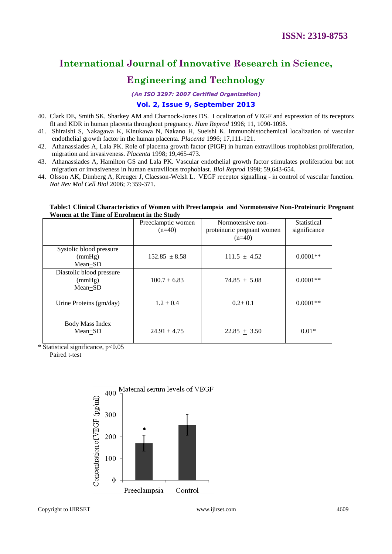### **Engineering and Technology**

*(An ISO 3297: 2007 Certified Organization)*

#### **Vol. 2, Issue 9, September 2013**

- 40. Clark DE, Smith SK, Sharkey AM and Charnock-Jones DS. Localization of VEGF and expression of its receptors flt and KDR in human placenta throughout pregnancy. *Hum Reprod* 1996; 11, 1090-1098.
- 41. Shiraishi S, Nakagawa K, Kinukawa N, Nakano H, Sueishi K. Immunohistochemical localization of vascular endothelial growth factor in the human placenta. *Placenta* 1996; 17,111-121.
- 42. Athanassiades A, Lala PK. Role of placenta growth factor (PIGF) in human extravillous trophoblast proliferation, migration and invasiveness. *Placenta* 1998; 19,465-473.
- 43. Athanassiades A, Hamilton GS and Lala PK. Vascular endothelial growth factor stimulates proliferation but not migration or invasiveness in human extravillous trophoblast. *Biol Reprod* 1998; 59,643-654.
- 44. Olsson AK, Dimberg A, Kreuger J, Claesson-Welsh L. VEGF receptor signalling in control of vascular function. *Nat Rev Mol Cell Biol* 2006; 7:359-371.

#### **Table:1 Clinical Characteristics of Women with Preeclampsia and Normotensive Non-Proteinuric Pregnant Women at the Time of Enrolment in the Study**

|                                               | Preeclamptic women<br>$(n=40)$ | Normotensive non-<br>proteinuric pregnant women<br>$(n=40)$ | Statistical<br>significance |
|-----------------------------------------------|--------------------------------|-------------------------------------------------------------|-----------------------------|
| Systolic blood pressure<br>(mmHg)<br>Mean+SD  | $152.85 \pm 8.58$              | $111.5 \pm 4.52$                                            | $0.0001**$                  |
| Diastolic blood pressure<br>(mmHg)<br>Mean+SD | $100.7 \pm 6.83$               | $74.85 \pm 5.08$                                            | $0.0001**$                  |
| Urine Proteins (gm/day)                       | $1.2 + 0.4$                    | $0.2 + 0.1$                                                 | $0.0001**$                  |
| Body Mass Index<br>Mean+SD                    | $24.91 \pm 4.75$               | $22.85 + 3.50$                                              | $0.01*$                     |

\* Statistical significance, p<0.05

Paired t-test

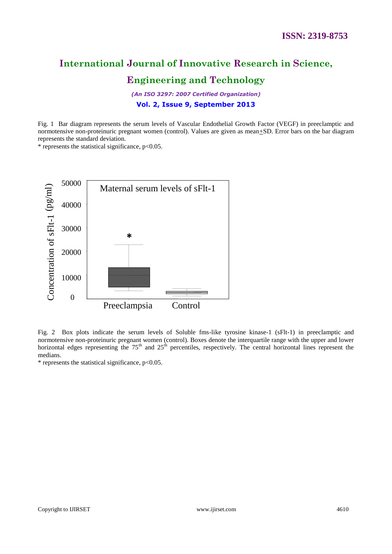# **Engineering and Technology**

*(An ISO 3297: 2007 Certified Organization)* **Vol. 2, Issue 9, September 2013**

Fig. 1 Bar diagram represents the serum levels of Vascular Endothelial Growth Factor (VEGF) in preeclamptic and normotensive non-proteinuric pregnant women (control). Values are given as mean $\pm$ SD. Error bars on the bar diagram represents the standard deviation.

\* represents the statistical significance, p<0.05.



Fig. 2 Box plots indicate the serum levels of Soluble fms-like tyrosine kinase-1 (sFlt-1) in preeclamptic and normotensive non-proteinuric pregnant women (control). Boxes denote the interquartile range with the upper and lower horizontal edges representing the  $75<sup>th</sup>$  and  $25<sup>th</sup>$  percentiles, respectively. The central horizontal lines represent the medians.

 $*$  represents the statistical significance,  $p<0.05$ .